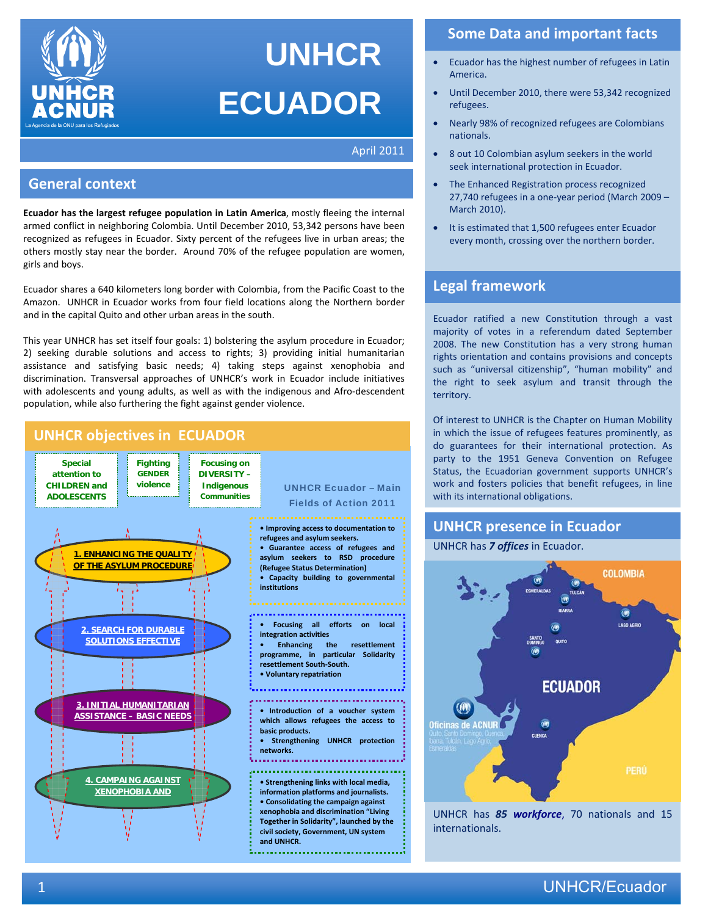

# **UNHCR ECUADOR**

April 2011

## **General context**

**Ecuador has the largest refugee population in Latin America**, mostly fleeing the internal armed conflict in neighboring Colombia. Until December 2010, 53,342 persons have been recognized as refugees in Ecuador. Sixty percent of the refugees live in urban areas; the others mostly stay near the border. Around 70% of the refugee population are women, girls and boys.

Ecuador shares a 640 kilometers long border with Colombia, from the Pacific Coast to the Amazon. UNHCR in Ecuador works from four field locations along the Northern border and in the capital Quito and other urban areas in the south.

This year UNHCR has set itself four goals: 1) bolstering the asylum procedure in Ecuador; 2) seeking durable solutions and access to rights; 3) providing initial humanitarian assistance and satisfying basic needs; 4) taking steps against xenophobia and discrimination. Transversal approaches of UNHCR's work in Ecuador include initiatives with adolescents and young adults, as well as with the indigenous and Afro-descendent population, while also furthering the fight against gender violence.



## **Some Data and important facts**

- Ecuador has the highest number of refugees in Latin America.
- Until December 2010, there were 53,342 recognized refugees.
- Nearly 98% of recognized refugees are Colombians nationals.
- 8 out 10 Colombian asylum seekers in the world seek international protection in Ecuador.
- The Enhanced Registration process recognized 27,740 refugees in a one-year period (March 2009 – March 2010).
- It is estimated that 1,500 refugees enter Ecuador every month, crossing over the northern border.

## **Legal framework**

Ecuador ratified a new Constitution through a vast majority of votes in a referendum dated September 2008. The new Constitution has a very strong human rights orientation and contains provisions and concepts such as "universal citizenship", "human mobility" and the right to seek asylum and transit through the territory.

Of interest to UNHCR is the Chapter on Human Mobility in which the issue of refugees features prominently, as do guarantees for their international protection. As party to the 1951 Geneva Convention on Refugee Status, the Ecuadorian government supports UNHCR's work and fosters policies that benefit refugees, in line with its international obligations.

## **UNHCR presence in Ecuador**

#### UNHCR has *7 offices* in Ecuador.



UNHCR has *85 workforce*, 70 nationals and 15 internationals.